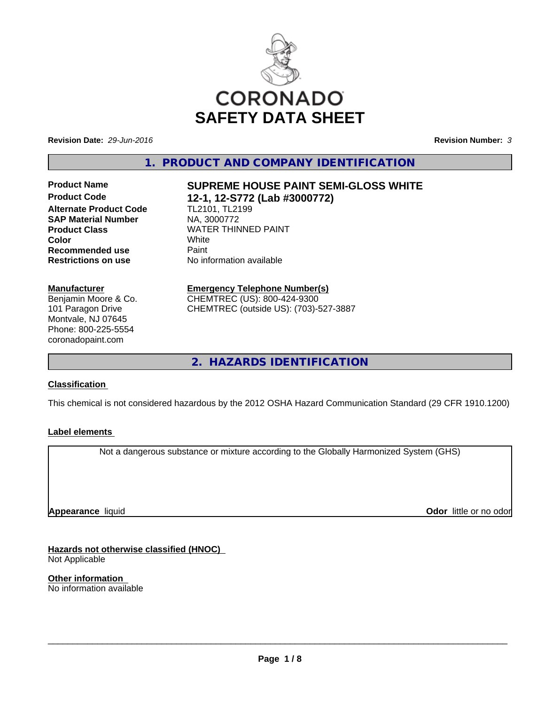

**Revision Date:** *29-Jun-2016* **Revision Number:** *3*

**1. PRODUCT AND COMPANY IDENTIFICATION**

**Alternate Product Code** TL2101, TL2199 **SAP Material Number** NA, 3000772 **Recommended use** Paint **Restrictions on use** No information available

#### **Manufacturer**

Benjamin Moore & Co. 101 Paragon Drive Montvale, NJ 07645 Phone: 800-225-5554 coronadopaint.com

# **Product Name SUPREME HOUSE PAINT SEMI-GLOSS WHITE Product Code 12-1, 12-S772 (Lab #3000772)**

**Product Class WATER THINNED PAINT Color** White White

#### **Emergency Telephone Number(s)** CHEMTREC (US): 800-424-9300

CHEMTREC (outside US): (703)-527-3887

**2. HAZARDS IDENTIFICATION**

#### **Classification**

This chemical is not considered hazardous by the 2012 OSHA Hazard Communication Standard (29 CFR 1910.1200)

#### **Label elements**

Not a dangerous substance or mixture according to the Globally Harmonized System (GHS)

**Appearance** liquid

**Odor** little or no odor

**Hazards not otherwise classified (HNOC)** Not Applicable

**Other information** No information available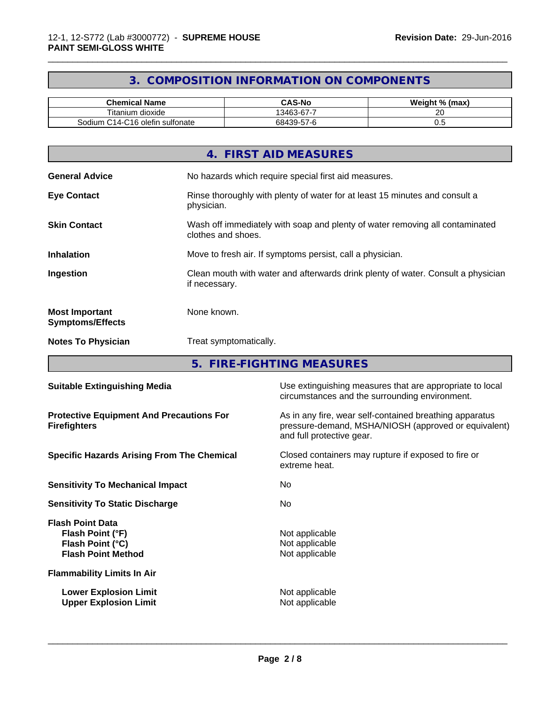## **3. COMPOSITION INFORMATION ON COMPONENTS**

\_\_\_\_\_\_\_\_\_\_\_\_\_\_\_\_\_\_\_\_\_\_\_\_\_\_\_\_\_\_\_\_\_\_\_\_\_\_\_\_\_\_\_\_\_\_\_\_\_\_\_\_\_\_\_\_\_\_\_\_\_\_\_\_\_\_\_\_\_\_\_\_\_\_\_\_\_\_\_\_\_\_\_\_\_\_\_\_\_\_\_\_\_

| <b>Chemical Name</b>                                                                   | <b>CAS-No</b>                              | Weight %<br>(max) |
|----------------------------------------------------------------------------------------|--------------------------------------------|-------------------|
| ÷.<br>l itanium dioxide                                                                | $\sim$<br> 3463-67                         | oc<br>$\sim$      |
| sulfonate<br>$\cdot$<br>$\bigcap_{\alpha}$<br>Sodium<br>◝<br>i olefin<br>-C14<br>- U P | $  \sim$<br>$\sqrt{2}$<br>684.<br>139-57-r | ◡.                |

|                                                  | 4. FIRST AID MEASURES                                                                              |
|--------------------------------------------------|----------------------------------------------------------------------------------------------------|
| <b>General Advice</b>                            | No hazards which require special first aid measures.                                               |
| <b>Eye Contact</b>                               | Rinse thoroughly with plenty of water for at least 15 minutes and consult a<br>physician.          |
| <b>Skin Contact</b>                              | Wash off immediately with soap and plenty of water removing all contaminated<br>clothes and shoes. |
| <b>Inhalation</b>                                | Move to fresh air. If symptoms persist, call a physician.                                          |
| Ingestion                                        | Clean mouth with water and afterwards drink plenty of water. Consult a physician<br>if necessary.  |
| <b>Most Important</b><br><b>Symptoms/Effects</b> | None known.                                                                                        |
| <b>Notes To Physician</b>                        | Treat symptomatically.                                                                             |

**5. FIRE-FIGHTING MEASURES**

| Use extinguishing measures that are appropriate to local<br>circumstances and the surrounding environment.                                   |  |  |
|----------------------------------------------------------------------------------------------------------------------------------------------|--|--|
| As in any fire, wear self-contained breathing apparatus<br>pressure-demand, MSHA/NIOSH (approved or equivalent)<br>and full protective gear. |  |  |
| Closed containers may rupture if exposed to fire or<br>extreme heat.                                                                         |  |  |
| No.                                                                                                                                          |  |  |
| No.                                                                                                                                          |  |  |
| Not applicable<br>Not applicable<br>Not applicable                                                                                           |  |  |
|                                                                                                                                              |  |  |
| Not applicable<br>Not applicable                                                                                                             |  |  |
|                                                                                                                                              |  |  |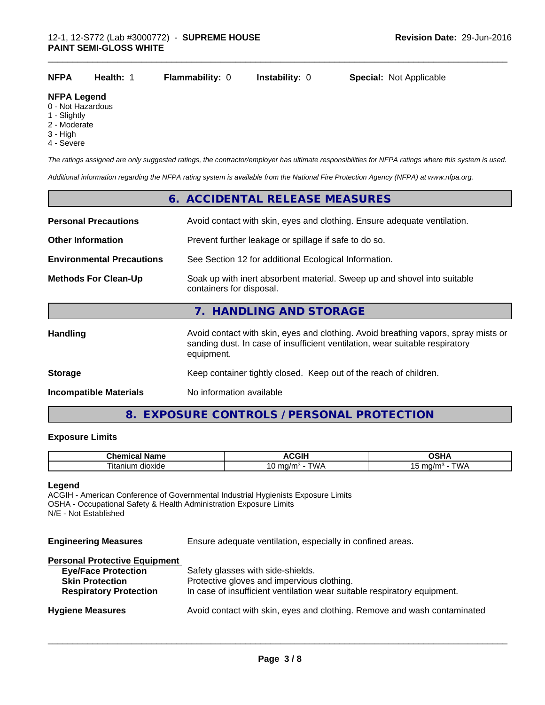| <b>NFPA</b> | <b>Health: 1</b> | <b>Flammability: 0 lnstability: 0</b> |  | <b>Special: Not Applicable</b> |  |
|-------------|------------------|---------------------------------------|--|--------------------------------|--|
|-------------|------------------|---------------------------------------|--|--------------------------------|--|

#### **NFPA Legend**

- 0 Not Hazardous
- 1 Slightly
- 2 Moderate
- 3 High
- 4 Severe

*The ratings assigned are only suggested ratings, the contractor/employer has ultimate responsibilities for NFPA ratings where this system is used.*

\_\_\_\_\_\_\_\_\_\_\_\_\_\_\_\_\_\_\_\_\_\_\_\_\_\_\_\_\_\_\_\_\_\_\_\_\_\_\_\_\_\_\_\_\_\_\_\_\_\_\_\_\_\_\_\_\_\_\_\_\_\_\_\_\_\_\_\_\_\_\_\_\_\_\_\_\_\_\_\_\_\_\_\_\_\_\_\_\_\_\_\_\_

*Additional information regarding the NFPA rating system is available from the National Fire Protection Agency (NFPA) at www.nfpa.org.*

|                                  | 6. ACCIDENTAL RELEASE MEASURES                                                                                                                                                   |
|----------------------------------|----------------------------------------------------------------------------------------------------------------------------------------------------------------------------------|
| <b>Personal Precautions</b>      | Avoid contact with skin, eyes and clothing. Ensure adequate ventilation.                                                                                                         |
| <b>Other Information</b>         | Prevent further leakage or spillage if safe to do so.                                                                                                                            |
| <b>Environmental Precautions</b> | See Section 12 for additional Ecological Information.                                                                                                                            |
| <b>Methods For Clean-Up</b>      | Soak up with inert absorbent material. Sweep up and shovel into suitable<br>containers for disposal.                                                                             |
|                                  | 7. HANDLING AND STORAGE                                                                                                                                                          |
| <b>Handling</b>                  | Avoid contact with skin, eyes and clothing. Avoid breathing vapors, spray mists or<br>sanding dust. In case of insufficient ventilation, wear suitable respiratory<br>equipment. |
| <b>Storage</b>                   | Keep container tightly closed. Keep out of the reach of children.                                                                                                                |
| <b>Incompatible Materials</b>    | No information available                                                                                                                                                         |

## **8. EXPOSURE CONTROLS / PERSONAL PROTECTION**

#### **Exposure Limits**

| Chem<br>Name             | oπ<br>. .<br>чı.             | ገSHA                                                 |
|--------------------------|------------------------------|------------------------------------------------------|
| --<br>dioxide<br>⊣tanium | N/4<br>47 F<br>.<br>ັ<br>v v | $\overline{\phantom{a}}$<br>$\sim$<br>- 19<br>Ö<br>. |

#### **Legend**

ACGIH - American Conference of Governmental Industrial Hygienists Exposure Limits OSHA - Occupational Safety & Health Administration Exposure Limits N/E - Not Established

| <b>Engineering Measures</b>          | Ensure adequate ventilation, especially in confined areas.               |  |  |
|--------------------------------------|--------------------------------------------------------------------------|--|--|
| <b>Personal Protective Equipment</b> |                                                                          |  |  |
| <b>Eye/Face Protection</b>           | Safety glasses with side-shields.                                        |  |  |
| <b>Skin Protection</b>               | Protective gloves and impervious clothing.                               |  |  |
| <b>Respiratory Protection</b>        | In case of insufficient ventilation wear suitable respiratory equipment. |  |  |
| <b>Hygiene Measures</b>              | Avoid contact with skin, eyes and clothing. Remove and wash contaminated |  |  |
|                                      |                                                                          |  |  |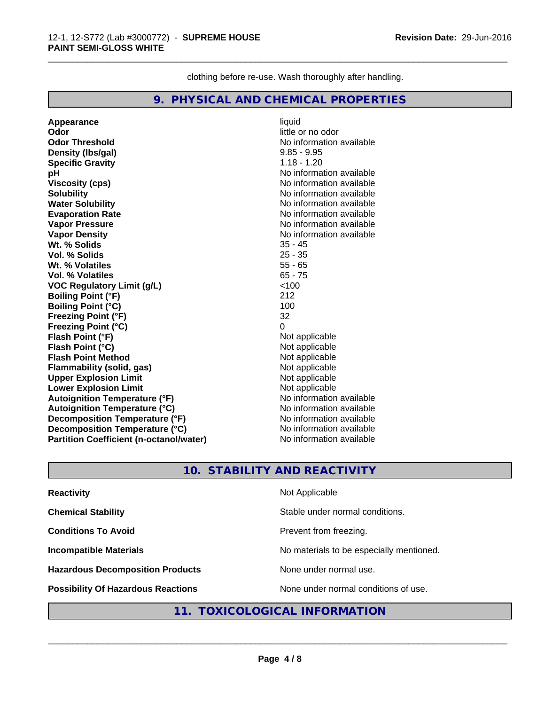clothing before re-use. Wash thoroughly after handling.

\_\_\_\_\_\_\_\_\_\_\_\_\_\_\_\_\_\_\_\_\_\_\_\_\_\_\_\_\_\_\_\_\_\_\_\_\_\_\_\_\_\_\_\_\_\_\_\_\_\_\_\_\_\_\_\_\_\_\_\_\_\_\_\_\_\_\_\_\_\_\_\_\_\_\_\_\_\_\_\_\_\_\_\_\_\_\_\_\_\_\_\_\_

#### **9. PHYSICAL AND CHEMICAL PROPERTIES**

**Appearance** liquid **Odor**<br> **Odor Threshold**<br> **Odor Threshold**<br> **Odor Threshold**<br> **Odor Density (Ibs/gal)** 9.85 - 9.95 **Specific Gravity** 1.18 - 1.20 **pH** No information available **Viscosity (cps)** No information available Notice 1, 1999 **Solubility** No information available **Water Solubility No information available No information available Evaporation Rate** No information available **Vapor Pressure** No information available **Vapor Density No information available No information available Wt. % Solids** 35 - 45 **Vol. % Solids Wt. % Volatiles** 55 - 65 **Vol. % Volatiles** 65 - 75 **VOC Regulatory Limit (g/L)** <100 **Boiling Point (°F)** 212 **Boiling Point (°C)** 100 **Freezing Point (°F)** 32 **Freezing Point (°C)** 0 **Flash Point (°F)** Not applicable **Flash Point (°C)**<br> **Flash Point Method Contract Contract Contract Contract Contract Contract Contract Contract Contract Contract Contract Contract Contract Contract Contract Contract Contract Contract Contract Contract Flash Point Method**<br> **Flammability (solid, gas)**<br> **Example 2018** Not applicable **Flammability (solid, gas)**<br> **Compare Upper Explosion Limit**<br>
Not applicable<br>
Not applicable **Upper Explosion Limit Lower Explosion Limit**<br> **Autoignition Temperature (°F)**<br> **Autoignition Temperature (°F)**<br> **Autoignition Temperature (°F) Autoignition Temperature (°F) Autoignition Temperature (°C)** No information available **Decomposition Temperature (°F)** No information available **Decomposition Temperature (°C)** No information available **Partition Coefficient (n-octanol/water)** No information available

**No information available** 

## **10. STABILITY AND REACTIVITY**

| <b>Reactivity</b>                         | Not Applicable                           |
|-------------------------------------------|------------------------------------------|
| <b>Chemical Stability</b>                 | Stable under normal conditions.          |
| <b>Conditions To Avoid</b>                | Prevent from freezing.                   |
| <b>Incompatible Materials</b>             | No materials to be especially mentioned. |
| <b>Hazardous Decomposition Products</b>   | None under normal use.                   |
| <b>Possibility Of Hazardous Reactions</b> | None under normal conditions of use.     |

## **11. TOXICOLOGICAL INFORMATION**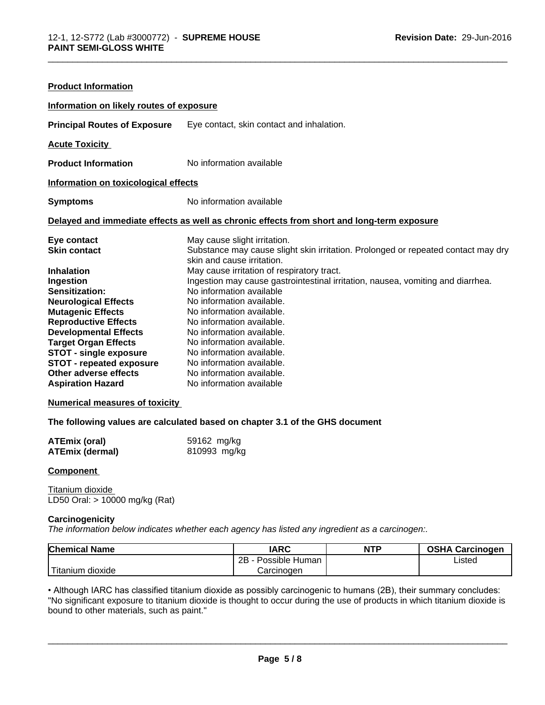| <b>Product Information</b>                                                                                                                                                                                                                                                                                                                   |                                                                                                                                                                                                                                                                                                                                                                                                                                                                                                                                                      |
|----------------------------------------------------------------------------------------------------------------------------------------------------------------------------------------------------------------------------------------------------------------------------------------------------------------------------------------------|------------------------------------------------------------------------------------------------------------------------------------------------------------------------------------------------------------------------------------------------------------------------------------------------------------------------------------------------------------------------------------------------------------------------------------------------------------------------------------------------------------------------------------------------------|
| Information on likely routes of exposure                                                                                                                                                                                                                                                                                                     |                                                                                                                                                                                                                                                                                                                                                                                                                                                                                                                                                      |
| <b>Principal Routes of Exposure</b>                                                                                                                                                                                                                                                                                                          | Eye contact, skin contact and inhalation.                                                                                                                                                                                                                                                                                                                                                                                                                                                                                                            |
| <b>Acute Toxicity</b>                                                                                                                                                                                                                                                                                                                        |                                                                                                                                                                                                                                                                                                                                                                                                                                                                                                                                                      |
| <b>Product Information</b>                                                                                                                                                                                                                                                                                                                   | No information available                                                                                                                                                                                                                                                                                                                                                                                                                                                                                                                             |
| Information on toxicological effects                                                                                                                                                                                                                                                                                                         |                                                                                                                                                                                                                                                                                                                                                                                                                                                                                                                                                      |
| <b>Symptoms</b>                                                                                                                                                                                                                                                                                                                              | No information available                                                                                                                                                                                                                                                                                                                                                                                                                                                                                                                             |
|                                                                                                                                                                                                                                                                                                                                              | Delayed and immediate effects as well as chronic effects from short and long-term exposure                                                                                                                                                                                                                                                                                                                                                                                                                                                           |
| Eye contact<br><b>Skin contact</b><br><b>Inhalation</b><br>Ingestion<br>Sensitization:<br><b>Neurological Effects</b><br><b>Mutagenic Effects</b><br><b>Reproductive Effects</b><br><b>Developmental Effects</b><br><b>Target Organ Effects</b><br><b>STOT - single exposure</b><br><b>STOT - repeated exposure</b><br>Other adverse effects | May cause slight irritation.<br>Substance may cause slight skin irritation. Prolonged or repeated contact may dry<br>skin and cause irritation.<br>May cause irritation of respiratory tract.<br>Ingestion may cause gastrointestinal irritation, nausea, vomiting and diarrhea.<br>No information available<br>No information available.<br>No information available.<br>No information available.<br>No information available.<br>No information available.<br>No information available.<br>No information available.<br>No information available. |

\_\_\_\_\_\_\_\_\_\_\_\_\_\_\_\_\_\_\_\_\_\_\_\_\_\_\_\_\_\_\_\_\_\_\_\_\_\_\_\_\_\_\_\_\_\_\_\_\_\_\_\_\_\_\_\_\_\_\_\_\_\_\_\_\_\_\_\_\_\_\_\_\_\_\_\_\_\_\_\_\_\_\_\_\_\_\_\_\_\_\_\_\_

#### **Numerical measures of toxicity**

#### **The following values are calculated based on chapter 3.1 of the GHS document**

| <b>ATEmix (oral)</b>   | 59162 mg/kg  |
|------------------------|--------------|
| <b>ATEmix (dermal)</b> | 810993 mg/kg |

#### **Component**

Titanium dioxide LD50 Oral: > 10000 mg/kg (Rat)

#### **Carcinogenicity**

*The information below indicateswhether each agency has listed any ingredient as a carcinogen:.*

| <b>Chemical Name</b>        | <b>IARC</b>          | <b>NTP</b> | <b>OSHA Carcinogen</b> |
|-----------------------------|----------------------|------------|------------------------|
|                             | 2B<br>Possible Human |            | Listed                 |
| $-1$<br>dioxide<br>Titanium | Carcinogen           |            |                        |

• Although IARC has classified titanium dioxide as possibly carcinogenic to humans (2B), their summary concludes: "No significant exposure to titanium dioxide is thought to occur during the use of products in which titanium dioxide is bound to other materials, such as paint."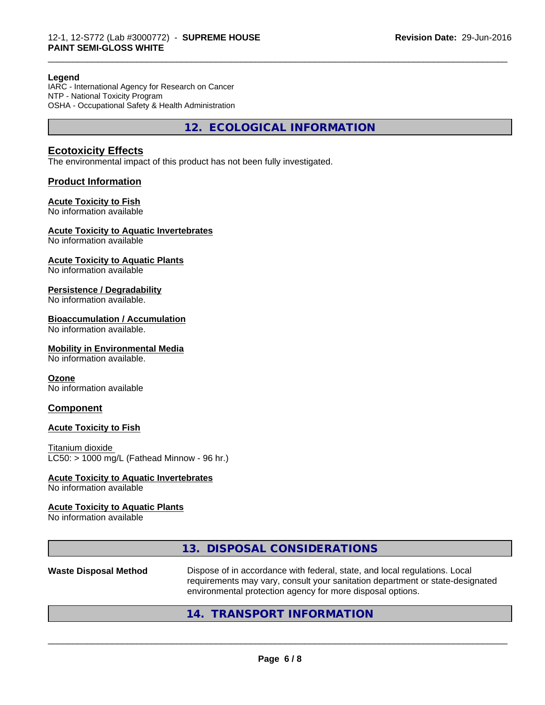#### **Legend**

IARC - International Agency for Research on Cancer NTP - National Toxicity Program OSHA - Occupational Safety & Health Administration

**12. ECOLOGICAL INFORMATION**

\_\_\_\_\_\_\_\_\_\_\_\_\_\_\_\_\_\_\_\_\_\_\_\_\_\_\_\_\_\_\_\_\_\_\_\_\_\_\_\_\_\_\_\_\_\_\_\_\_\_\_\_\_\_\_\_\_\_\_\_\_\_\_\_\_\_\_\_\_\_\_\_\_\_\_\_\_\_\_\_\_\_\_\_\_\_\_\_\_\_\_\_\_

### **Ecotoxicity Effects**

The environmental impact of this product has not been fully investigated.

#### **Product Information**

#### **Acute Toxicity to Fish**

No information available

#### **Acute Toxicity to Aquatic Invertebrates**

No information available

#### **Acute Toxicity to Aquatic Plants**

No information available

#### **Persistence / Degradability**

No information available.

#### **Bioaccumulation / Accumulation**

No information available.

#### **Mobility in Environmental Media**

No information available.

#### **Ozone**

No information available

#### **Component**

#### **Acute Toxicity to Fish**

Titanium dioxide  $LC50:$  > 1000 mg/L (Fathead Minnow - 96 hr.)

#### **Acute Toxicity to Aquatic Invertebrates**

No information available

#### **Acute Toxicity to Aquatic Plants**

No information available

## **13. DISPOSAL CONSIDERATIONS**

**Waste Disposal Method** Dispose of in accordance with federal, state, and local regulations. Local requirements may vary, consult your sanitation department or state-designated environmental protection agency for more disposal options.

 $\overline{\phantom{a}}$  ,  $\overline{\phantom{a}}$  ,  $\overline{\phantom{a}}$  ,  $\overline{\phantom{a}}$  ,  $\overline{\phantom{a}}$  ,  $\overline{\phantom{a}}$  ,  $\overline{\phantom{a}}$  ,  $\overline{\phantom{a}}$  ,  $\overline{\phantom{a}}$  ,  $\overline{\phantom{a}}$  ,  $\overline{\phantom{a}}$  ,  $\overline{\phantom{a}}$  ,  $\overline{\phantom{a}}$  ,  $\overline{\phantom{a}}$  ,  $\overline{\phantom{a}}$  ,  $\overline{\phantom{a}}$ 

## **14. TRANSPORT INFORMATION**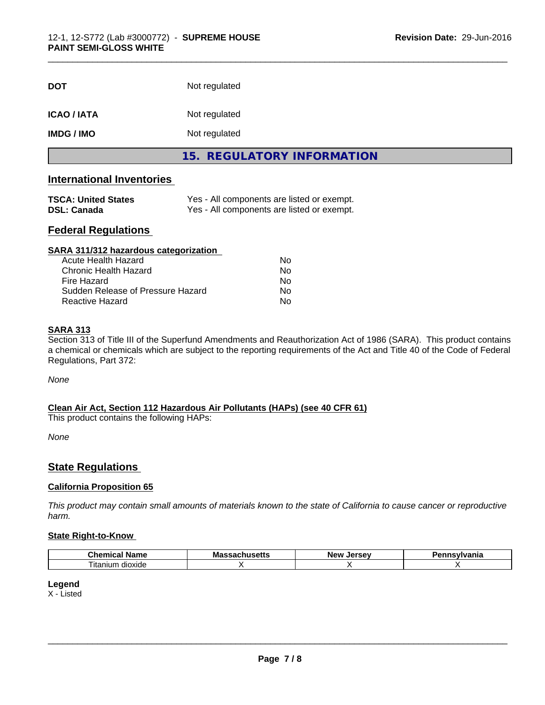| <b>DOT</b>        | Not regulated              |
|-------------------|----------------------------|
| <b>ICAO/IATA</b>  | Not regulated              |
| <b>IMDG / IMO</b> | Not regulated              |
|                   | 15. REGULATORY INFORMATION |

\_\_\_\_\_\_\_\_\_\_\_\_\_\_\_\_\_\_\_\_\_\_\_\_\_\_\_\_\_\_\_\_\_\_\_\_\_\_\_\_\_\_\_\_\_\_\_\_\_\_\_\_\_\_\_\_\_\_\_\_\_\_\_\_\_\_\_\_\_\_\_\_\_\_\_\_\_\_\_\_\_\_\_\_\_\_\_\_\_\_\_\_\_

## **International Inventories**

| <b>TSCA: United States</b> | Yes - All components are listed or exempt. |
|----------------------------|--------------------------------------------|
| <b>DSL: Canada</b>         | Yes - All components are listed or exempt. |

## **Federal Regulations**

| SARA 311/312 hazardous categorization |    |  |
|---------------------------------------|----|--|
| Acute Health Hazard                   | Nο |  |
| Chronic Health Hazard                 | Nο |  |
| Fire Hazard                           | No |  |
| Sudden Release of Pressure Hazard     | No |  |
| Reactive Hazard                       | Nο |  |

#### **SARA 313**

Section 313 of Title III of the Superfund Amendments and Reauthorization Act of 1986 (SARA). This product contains a chemical or chemicals which are subject to the reporting requirements of the Act and Title 40 of the Code of Federal Regulations, Part 372:

*None*

## **Clean Air Act,Section 112 Hazardous Air Pollutants (HAPs) (see 40 CFR 61)**

This product contains the following HAPs:

*None*

## **State Regulations**

#### **California Proposition 65**

This product may contain small amounts of materials known to the state of California to cause cancer or reproductive *harm.*

#### **State Right-to-Know**

| `h∆n<br>$   -$<br>ımı<br>name<br>л | м.<br>шы<br>コール | <b>Arca</b> u<br><b>Nev</b><br> | ٦ni٤ |
|------------------------------------|-----------------|---------------------------------|------|
| dioxide<br>I itanıum               |                 |                                 |      |

#### **Legend**

X - Listed